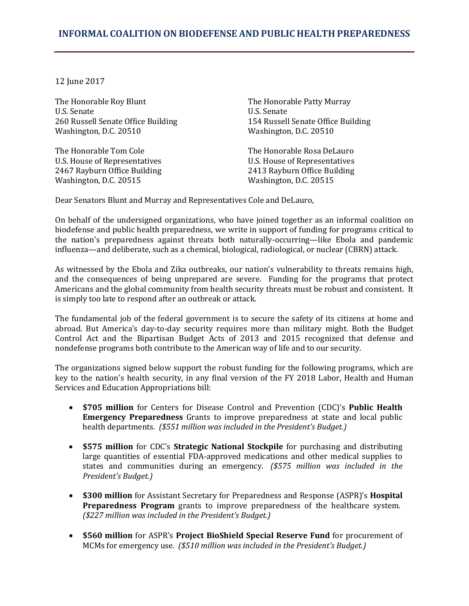## **INFORMAL COALITION ON BIODEFENSE AND PUBLIC HEALTH PREPAREDNESS**

12 June 2017

The Honorable Roy Blunt The Honorable Patty Murray<br>U.S. Senate U.S. Senate U.S. Senate U.S. Senate 260 Russell Senate Office Building<br>
Washington, D.C. 20510<br>
Washington, D.C. 20510 Washington, D.C. 20510

The Honorable Tom Cole<br>
U.S. House of Representatives<br>
U.S. House of Representatives<br>
U.S. House of Representatives U.S. House of Representatives<br>
2467 Rayburn Office Building<br>
2413 Rayburn Office Building 2467 Rayburn Office Building<br>Washington, D.C. 20515<br>Washington, D.C. 20515 Washington, D.C. 20515

Dear Senators Blunt and Murray and Representatives Cole and DeLauro,

On behalf of the undersigned organizations, who have joined together as an informal coalition on biodefense and public health preparedness, we write in support of funding for programs critical to the nation's preparedness against threats both naturally-occurring—like Ebola and pandemic influenza—and deliberate, such as a chemical, biological, radiological, or nuclear (CBRN) attack.

As witnessed by the Ebola and Zika outbreaks, our nation's vulnerability to threats remains high, and the consequences of being unprepared are severe. Funding for the programs that protect Americans and the global community from health security threats must be robust and consistent. It is simply too late to respond after an outbreak or attack.

The fundamental job of the federal government is to secure the safety of its citizens at home and abroad. But America's day-to-day security requires more than military might. Both the Budget Control Act and the Bipartisan Budget Acts of 2013 and 2015 recognized that defense and nondefense programs both contribute to the American way of life and to our security.

The organizations signed below support the robust funding for the following programs, which are key to the nation's health security, in any final version of the FY 2018 Labor, Health and Human Services and Education Appropriations bill:

- **\$705 million** for Centers for Disease Control and Prevention (CDC)'s **Public Health Emergency Preparedness** Grants to improve preparedness at state and local public health departments*. (\$551 million was included in the President's Budget.)*
- **\$575 million** for CDC's **Strategic National Stockpile** for purchasing and distributing large quantities of essential FDA-approved medications and other medical supplies to states and communities during an emergency. *(\$575 million was included in the President's Budget.)*
- **\$300 million** for Assistant Secretary for Preparedness and Response (ASPR)'s **Hospital Preparedness Program** grants to improve preparedness of the healthcare system. *(\$227 million was included in the President's Budget.)*
- **\$560 million** for ASPR's **Project BioShield Special Reserve Fund** for procurement of MCMs for emergency use. *(\$510 million was included in the President's Budget.)*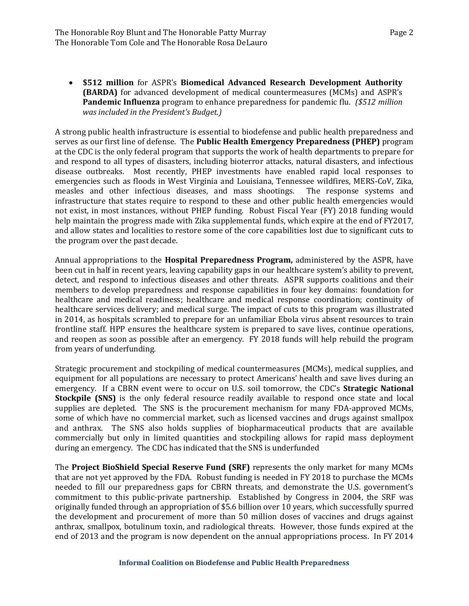• **\$512 million** for ASPR's **Biomedical Advanced Research Development Authority (BARDA)** for advanced development of medical countermeasures (MCMs) and ASPR's **Pandemic Influenza** program to enhance preparedness for pandemic flu. *(\$512 million was included in the President's Budget.)*

A strong public health infrastructure is essential to biodefense and public health preparedness and serves as our first line of defense. The **Public Health Emergency Preparedness (PHEP)** program at the CDC is the only federal program that supports the work of health departments to prepare for and respond to all types of disasters, including bioterror attacks, natural disasters, and infectious disease outbreaks. Most recently, PHEP investments have enabled rapid local responses to emergencies such as floods in West Virginia and Louisiana, Tennessee wildfires, MERS-CoV, Zika, measles and other infectious diseases, and mass shootings. The response systems and measles and other infectious diseases, and mass shootings. infrastructure that states require to respond to these and other public health emergencies would not exist, in most instances, without PHEP funding. Robust Fiscal Year (FY) 2018 funding would help maintain the progress made with Zika supplemental funds, which expire at the end of FY2017, and allow states and localities to restore some of the core capabilities lost due to significant cuts to the program over the past decade.

Annual appropriations to the **Hospital Preparedness Program,** administered by the ASPR, have been cut in half in recent years, leaving capability gaps in our healthcare system's ability to prevent, detect, and respond to infectious diseases and other threats. ASPR supports coalitions and their members to develop preparedness and response capabilities in four key domains: foundation for healthcare and medical readiness; healthcare and medical response coordination; continuity of healthcare services delivery; and medical surge. The impact of cuts to this program was illustrated in 2014, as hospitals scrambled to prepare for an unfamiliar Ebola virus absent resources to train frontline staff. HPP ensures the healthcare system is prepared to save lives, continue operations, and reopen as soon as possible after an emergency. FY 2018 funds will help rebuild the program from years of underfunding.

Strategic procurement and stockpiling of medical countermeasures (MCMs), medical supplies, and equipment for all populations are necessary to protect Americans' health and save lives during an emergency. If a CBRN event were to occur on U.S. soil tomorrow, the CDC's **Strategic National Stockpile (SNS)** is the only federal resource readily available to respond once state and local supplies are depleted. The SNS is the procurement mechanism for many FDA-approved MCMs, some of which have no commercial market, such as licensed vaccines and drugs against smallpox and anthrax. The SNS also holds supplies of biopharmaceutical products that are available commercially but only in limited quantities and stockpiling allows for rapid mass deployment during an emergency. The CDC has indicated that the SNS is underfunded

The **Project BioShield Special Reserve Fund (SRF)** represents the only market for many MCMs that are not yet approved by the FDA. Robust funding is needed in FY 2018 to purchase the MCMs needed to fill our preparedness gaps for CBRN threats, and demonstrate the U.S. government's commitment to this public-private partnership. Established by Congress in 2004, the SRF was originally funded through an appropriation of \$5.6 billion over 10 years, which successfully spurred the development and procurement of more than 50 million doses of vaccines and drugs against anthrax, smallpox, botulinum toxin, and radiological threats. However, those funds expired at the end of 2013 and the program is now dependent on the annual appropriations process. In FY 2014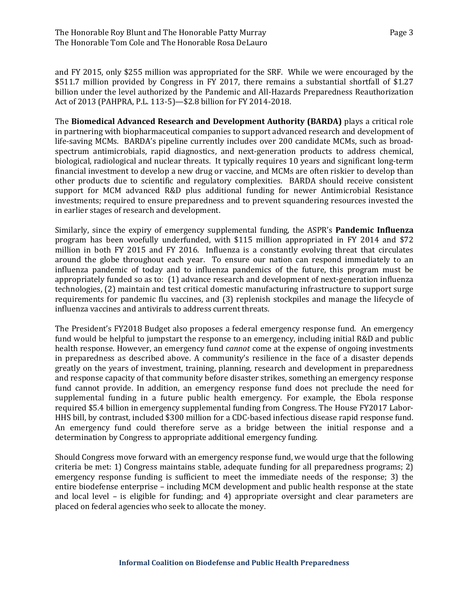and FY 2015, only \$255 million was appropriated for the SRF. While we were encouraged by the \$511.7 million provided by Congress in FY 2017, there remains a substantial shortfall of \$1.27 billion under the level authorized by the Pandemic and All-Hazards Preparedness Reauthorization Act of 2013 (PAHPRA, P.L. 113-5)—\$2.8 billion for FY 2014-2018.

The **Biomedical Advanced Research and Development Authority (BARDA)** plays a critical role in partnering with biopharmaceutical companies to support advanced research and development of life-saving MCMs. BARDA's pipeline currently includes over 200 candidate MCMs, such as broadspectrum antimicrobials, rapid diagnostics, and next-generation products to address chemical, biological, radiological and nuclear threats. It typically requires 10 years and significant long-term financial investment to develop a new drug or vaccine, and MCMs are often riskier to develop than other products due to scientific and regulatory complexities. BARDA should receive consistent support for MCM advanced R&D plus additional funding for newer Antimicrobial Resistance investments; required to ensure preparedness and to prevent squandering resources invested the in earlier stages of research and development.

Similarly, since the expiry of emergency supplemental funding, the ASPR's **Pandemic Influenza** program has been woefully underfunded, with \$115 million appropriated in FY 2014 and \$72 million in both FY 2015 and FY 2016. Influenza is a constantly evolving threat that circulates around the globe throughout each year. To ensure our nation can respond immediately to an influenza pandemic of today and to influenza pandemics of the future, this program must be appropriately funded so as to: (1) advance research and development of next-generation influenza technologies, (2) maintain and test critical domestic manufacturing infrastructure to support surge requirements for pandemic flu vaccines, and (3) replenish stockpiles and manage the lifecycle of influenza vaccines and antivirals to address current threats.

The President's FY2018 Budget also proposes a federal emergency response fund. An emergency fund would be helpful to jumpstart the response to an emergency, including initial R&D and public health response. However, an emergency fund *cannot* come at the expense of ongoing investments in preparedness as described above. A community's resilience in the face of a disaster depends greatly on the years of investment, training, planning, research and development in preparedness and response capacity of that community before disaster strikes, something an emergency response fund cannot provide. In addition, an emergency response fund does not preclude the need for supplemental funding in a future public health emergency. For example, the Ebola response required \$5.4 billion in emergency supplemental funding from Congress. The House FY2017 Labor-HHS bill, by contrast, included \$300 million for a CDC-based infectious disease rapid response fund. An emergency fund could therefore serve as a bridge between the initial response and a determination by Congress to appropriate additional emergency funding.

Should Congress move forward with an emergency response fund, we would urge that the following criteria be met: 1) Congress maintains stable, adequate funding for all preparedness programs; 2) emergency response funding is sufficient to meet the immediate needs of the response; 3) the entire biodefense enterprise – including MCM development and public health response at the state and local level – is eligible for funding; and 4) appropriate oversight and clear parameters are placed on federal agencies who seek to allocate the money.